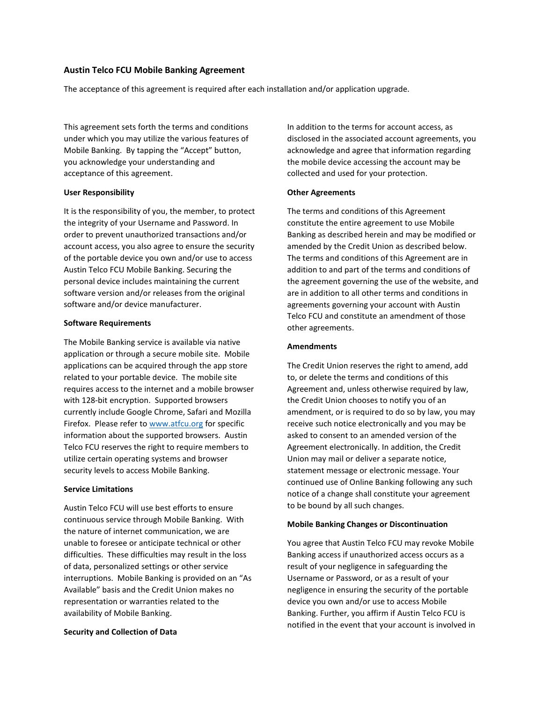# **Austin Telco FCU Mobile Banking Agreement**

The acceptance of this agreement is required after each installation and/or application upgrade.

This agreement sets forth the terms and conditions under which you may utilize the various features of Mobile Banking. By tapping the "Accept" button, you acknowledge your understanding and acceptance of this agreement.

## **User Responsibility**

It is the responsibility of you, the member, to protect the integrity of your Username and Password. In order to prevent unauthorized transactions and/or account access, you also agree to ensure the security of the portable device you own and/or use to access Austin Telco FCU Mobile Banking. Securing the personal device includes maintaining the current software version and/or releases from the original software and/or device manufacturer.

## **Software Requirements**

The Mobile Banking service is available via native application or through a secure mobile site. Mobile applications can be acquired through the app store related to your portable device. The mobile site requires access to the internet and a mobile browser with 128-bit encryption. Supported browsers currently include Google Chrome, Safari and Mozilla Firefox. Please refer t[o www.atfcu.org](http://www.atfcu.org/) for specific information about the supported browsers. Austin Telco FCU reserves the right to require members to utilize certain operating systems and browser security levels to access Mobile Banking.

#### **Service Limitations**

Austin Telco FCU will use best efforts to ensure continuous service through Mobile Banking. With the nature of internet communication, we are unable to foresee or anticipate technical or other difficulties. These difficulties may result in the loss of data, personalized settings or other service interruptions. Mobile Banking is provided on an "As Available" basis and the Credit Union makes no representation or warranties related to the availability of Mobile Banking.

## **Security and Collection of Data**

In addition to the terms for account access, as disclosed in the associated account agreements, you acknowledge and agree that information regarding the mobile device accessing the account may be collected and used for your protection.

## **Other Agreements**

The terms and conditions of this Agreement constitute the entire agreement to use Mobile Banking as described herein and may be modified or amended by the Credit Union as described below. The terms and conditions of this Agreement are in addition to and part of the terms and conditions of the agreement governing the use of the website, and are in addition to all other terms and conditions in agreements governing your account with Austin Telco FCU and constitute an amendment of those other agreements.

## **Amendments**

The Credit Union reserves the right to amend, add to, or delete the terms and conditions of this Agreement and, unless otherwise required by law, the Credit Union chooses to notify you of an amendment, or is required to do so by law, you may receive such notice electronically and you may be asked to consent to an amended version of the Agreement electronically. In addition, the Credit Union may mail or deliver a separate notice, statement message or electronic message. Your continued use of Online Banking following any such notice of a change shall constitute your agreement to be bound by all such changes.

#### **Mobile Banking Changes or Discontinuation**

You agree that Austin Telco FCU may revoke Mobile Banking access if unauthorized access occurs as a result of your negligence in safeguarding the Username or Password, or as a result of your negligence in ensuring the security of the portable device you own and/or use to access Mobile Banking. Further, you affirm if Austin Telco FCU is notified in the event that your account is involved in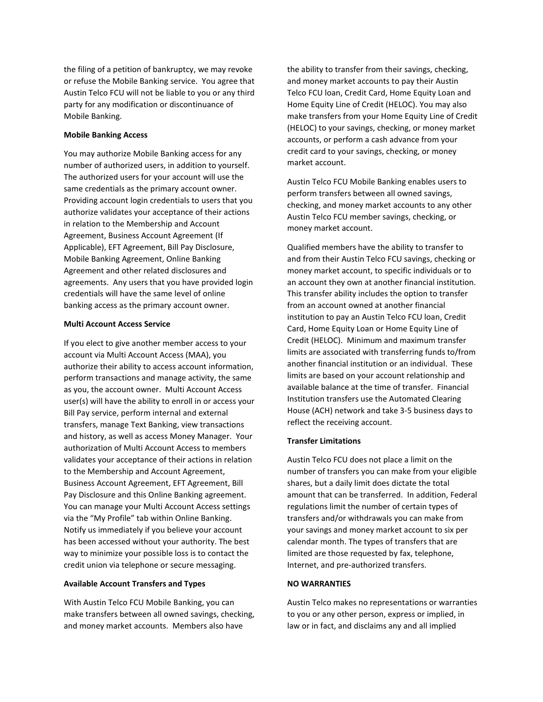the filing of a petition of bankruptcy, we may revoke or refuse the Mobile Banking service. You agree that Austin Telco FCU will not be liable to you or any third party for any modification or discontinuance of Mobile Banking.

#### **Mobile Banking Access**

You may authorize Mobile Banking access for any number of authorized users, in addition to yourself. The authorized users for your account will use the same credentials as the primary account owner. Providing account login credentials to users that you authorize validates your acceptance of their actions in relation to the Membership and Account Agreement, Business Account Agreement (If Applicable), EFT Agreement, Bill Pay Disclosure, Mobile Banking Agreement, Online Banking Agreement and other related disclosures and agreements. Any users that you have provided login credentials will have the same level of online banking access as the primary account owner.

#### **Multi Account Access Service**

If you elect to give another member access to your account via Multi Account Access (MAA), you authorize their ability to access account information, perform transactions and manage activity, the same as you, the account owner. Multi Account Access user(s) will have the ability to enroll in or access your Bill Pay service, perform internal and external transfers, manage Text Banking, view transactions and history, as well as access Money Manager. Your authorization of Multi Account Access to members validates your acceptance of their actions in relation to the Membership and Account Agreement, Business Account Agreement, EFT Agreement, Bill Pay Disclosure and this Online Banking agreement. You can manage your Multi Account Access settings via the "My Profile" tab within Online Banking. Notify us immediately if you believe your account has been accessed without your authority. The best way to minimize your possible loss is to contact the credit union via telephone or secure messaging.

## **Available Account Transfers and Types**

With Austin Telco FCU Mobile Banking, you can make transfers between all owned savings, checking, and money market accounts. Members also have

the ability to transfer from their savings, checking, and money market accounts to pay their Austin Telco FCU loan, Credit Card, Home Equity Loan and Home Equity Line of Credit (HELOC). You may also make transfers from your Home Equity Line of Credit (HELOC) to your savings, checking, or money market accounts, or perform a cash advance from your credit card to your savings, checking, or money market account.

Austin Telco FCU Mobile Banking enables users to perform transfers between all owned savings, checking, and money market accounts to any other Austin Telco FCU member savings, checking, or money market account.

Qualified members have the ability to transfer to and from their Austin Telco FCU savings, checking or money market account, to specific individuals or to an account they own at another financial institution. This transfer ability includes the option to transfer from an account owned at another financial institution to pay an Austin Telco FCU loan, Credit Card, Home Equity Loan or Home Equity Line of Credit (HELOC). Minimum and maximum transfer limits are associated with transferring funds to/from another financial institution or an individual. These limits are based on your account relationship and available balance at the time of transfer. Financial Institution transfers use the Automated Clearing House (ACH) network and take 3-5 business days to reflect the receiving account.

#### **Transfer Limitations**

Austin Telco FCU does not place a limit on the number of transfers you can make from your eligible shares, but a daily limit does dictate the total amount that can be transferred. In addition, Federal regulations limit the number of certain types of transfers and/or withdrawals you can make from your savings and money market account to six per calendar month. The types of transfers that are limited are those requested by fax, telephone, Internet, and pre-authorized transfers.

## **NO WARRANTIES**

Austin Telco makes no representations or warranties to you or any other person, express or implied, in law or in fact, and disclaims any and all implied